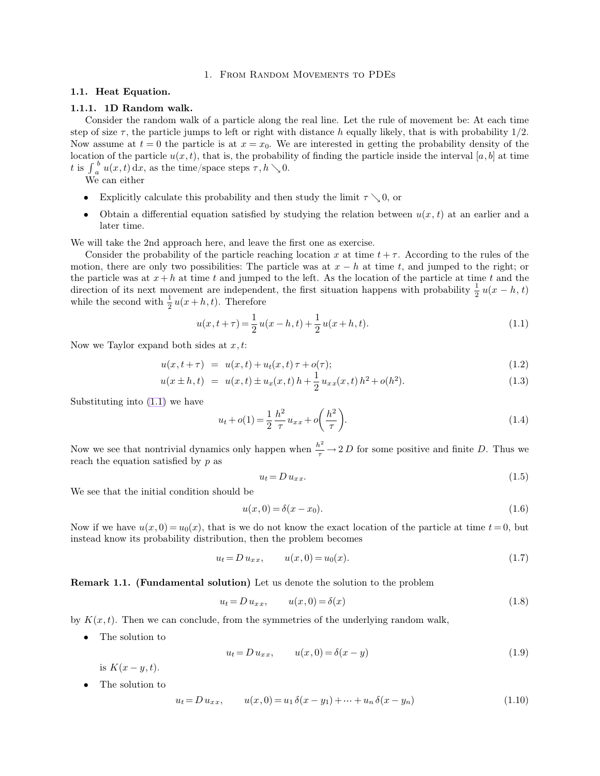# <span id="page-0-0"></span>1. From Random Movements to PDEs

### **1.1. Heat Equation.**

## **1.1.1. 1D Random walk.**

Consider the random walk of a particle along the real line. Let the rule of movement be: At each time step of size  $\tau$ , the particle jumps to left or right with distance h equally likely, that is with probability  $1/2$ . Now assume at  $t = 0$  the particle is at  $x = x_0$ . We are interested in getting the probability density of the location of the particle  $u(x,t)$ , that is, the probability of finding the particle inside the interval  $[a,b]$  at time t is  $\int_a^b$  $\int_a^b u(x,t) dx$ , as the time/space steps  $\tau, h \searrow 0$ .

We can either

- Explicitly calculate this probability and then study the limit  $\tau \searrow 0$ , or
- Obtain a differential equation satisfied by studying the relation between  $u(x, t)$  at an earlier and a later time.

We will take the 2nd approach here, and leave the first one as exercise.

Consider the probability of the particle reaching location x at time  $t + \tau$ . According to the rules of the motion, there are only two possibilities: The particle was at  $x - h$  at time t, and jumped to the right; or the particle was at  $x + h$  at time t and jumped to the left. As the location of the particle at time t and the direction of its next movement are independent, the first situation happens with probability  $\frac{1}{2}u(x-h,t)$ while the second with  $\frac{1}{2}u(x+h,t)$ . Therefore

$$
u(x, t + \tau) = \frac{1}{2}u(x - h, t) + \frac{1}{2}u(x + h, t).
$$
\n(1.1)

Now we Taylor expand both sides at  $x, t$ :

$$
u(x, t + \tau) = u(x, t) + u_t(x, t)\tau + o(\tau); \qquad (1.2)
$$

$$
u(x \pm h, t) = u(x, t) \pm u_x(x, t) h + \frac{1}{2} u_{xx}(x, t) h^2 + o(h^2).
$$
 (1.3)

Substituting into [\(1.1\)](#page-0-0) we have

$$
u_t + o(1) = \frac{1}{2} \frac{h^2}{\tau} u_{xx} + o\left(\frac{h^2}{\tau}\right).
$$
 (1.4)

Now we see that nontrivial dynamics only happen when  $\frac{h^2}{\tau} \to 2 D$  for some positive and finite D. Thus we reach the equation satisfied by  $p$  as

$$
u_t = D u_{xx}.\tag{1.5}
$$

We see that the initial condition should be

$$
u(x,0) = \delta(x - x_0).
$$
 (1.6)

Now if we have  $u(x, 0) = u_0(x)$ , that is we do not know the exact location of the particle at time  $t = 0$ , but instead know its probability distribution, then the problem becomes

$$
u_t = D u_{xx}, \t u(x,0) = u_0(x). \t(1.7)
$$

**Remark 1.1. (Fundamental solution)** Let us denote the solution to the problem

$$
u_t = D u_{xx}, \qquad u(x,0) = \delta(x) \tag{1.8}
$$

by  $K(x, t)$ . Then we can conclude, from the symmetries of the underlying random walk,

• The solution to

$$
u_t = D u_{xx}, \t u(x,0) = \delta(x - y) \t (1.9)
$$

is  $K(x - y, t)$ .

The solution to

$$
u_t = D u_{xx}, \qquad u(x,0) = u_1 \delta(x - y_1) + \dots + u_n \delta(x - y_n)
$$
\n(1.10)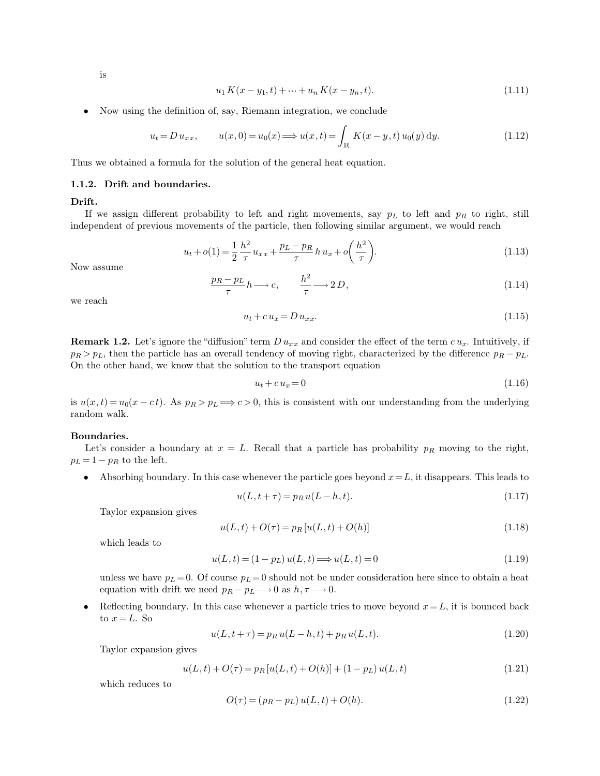is

$$
u_1 K(x - y_1, t) + \dots + u_n K(x - y_n, t). \tag{1.11}
$$

• Now using the definition of, say, Riemann integration, we conclude

$$
u_t = D u_{xx}, \t u(x,0) = u_0(x) \Longrightarrow u(x,t) = \int_{\mathbb{R}} K(x-y,t) u_0(y) dy.
$$
\t(1.12)

Thus we obtained a formula for the solution of the general heat equation.

### **1.1.2. Drift and boundaries.**

**Drift.**

If we assign different probability to left and right movements, say  $p<sub>L</sub>$  to left and  $p<sub>R</sub>$  to right, still independent of previous movements of the particle, then following similar argument, we would reach

$$
u_t + o(1) = \frac{1}{2} \frac{h^2}{\tau} u_{xx} + \frac{p_L - p_R}{\tau} h u_x + o\left(\frac{h^2}{\tau}\right).
$$
 (1.13)

Now assume

$$
\frac{p_R - p_L}{\tau} h \longrightarrow c, \qquad \frac{h^2}{\tau} \longrightarrow 2 D,
$$
\n(1.14)

we reach

$$
u_t + c u_x = D u_{xx}.\tag{1.15}
$$

**Remark 1.2.** Let's ignore the "diffusion" term  $D u_{xx}$  and consider the effect of the term  $c u_x$ . Intuitively, if  $p_R > p_L$ , then the particle has an overall tendency of moving right, characterized by the difference  $p_R - p_L$ . On the other hand, we know that the solution to the transport equation

$$
u_t + c u_x = 0 \tag{1.16}
$$

is  $u(x, t) = u_0(x - ct)$ . As  $p_R > p_L \implies c > 0$ , this is consistent with our understanding from the underlying random walk.

#### **Boundaries.**

Let's consider a boundary at  $x = L$ . Recall that a particle has probability  $p_R$  moving to the right,  $p_L = 1 - p_R$  to the left.

• Absorbing boundary. In this case whenever the particle goes beyond  $x = L$ , it disappears. This leads to

$$
u(L, t + \tau) = p_R u(L - h, t).
$$
\n(1.17)

Taylor expansion gives

$$
u(L, t) + O(\tau) = p_R[u(L, t) + O(h)]
$$
\n(1.18)

which leads to

$$
u(L,t) = (1 - pL) u(L,t) \Longrightarrow u(L,t) = 0
$$
\n(1.19)

unless we have  $p_L = 0$ . Of course  $p_L = 0$  should not be under consideration here since to obtain a heat equation with drift we need  $p_R - p_L \longrightarrow 0$  as  $h, \tau \longrightarrow 0$ .

Reflecting boundary. In this case whenever a particle tries to move beyond  $x = L$ , it is bounced back to  $x = L$ . So

$$
u(L, t + \tau) = p_R u(L - h, t) + p_R u(L, t).
$$
\n(1.20)

Taylor expansion gives

$$
u(L, t) + O(\tau) = p_R [u(L, t) + O(h)] + (1 - p_L) u(L, t)
$$
\n(1.21)

which reduces to

$$
O(\tau) = (p_R - p_L) u(L, t) + O(h).
$$
\n(1.22)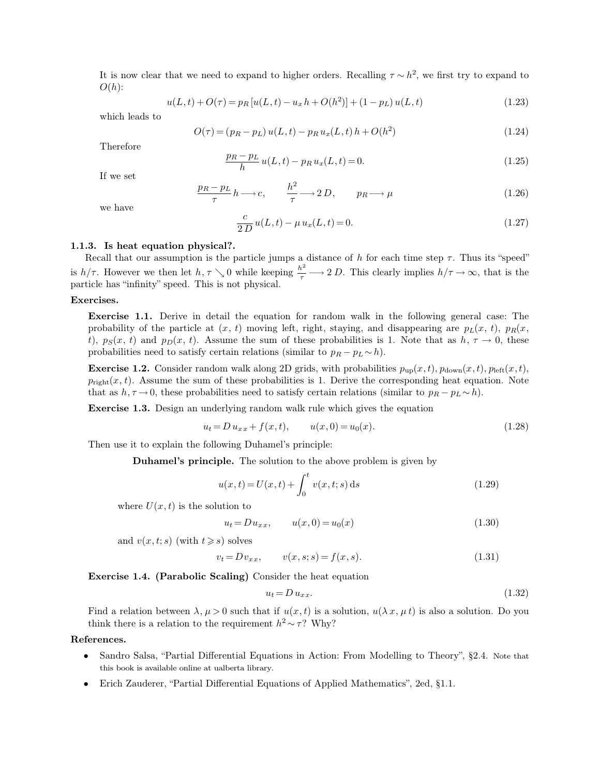It is now clear that we need to expand to higher orders. Recalling  $\tau \sim h^2$ , we first try to expand to  $O(h)$ :

$$
u(L,t) + O(\tau) = p_R [u(L,t) - u_x h + O(h^2)] + (1 - p_L) u(L,t)
$$
\n(1.23)

which leads to

$$
O(\tau) = (p_R - p_L) u(L, t) - p_R u_x(L, t) h + O(h^2)
$$
\n(1.24)

Therefore

$$
\frac{p_R - p_L}{h} u(L, t) - p_R u_x(L, t) = 0.
$$
\n(1.25)

If we set

$$
\frac{p_R - p_L}{\tau} h \longrightarrow c, \qquad \frac{h^2}{\tau} \longrightarrow 2D, \qquad p_R \longrightarrow \mu \tag{1.26}
$$

we have

$$
\frac{c}{2 D} u(L, t) - \mu u_x(L, t) = 0.
$$
\n(1.27)

#### **1.1.3. Is heat equation physical?.**

Recall that our assumption is the particle jumps a distance of h for each time step  $\tau$ . Thus its "speed" is  $h/\tau$ . However we then let  $h, \tau \searrow 0$  while keeping  $\frac{h^2}{\tau} \longrightarrow 2 D$ . This clearly implies  $h/\tau \to \infty$ , that is the particle has "infinity" speed. This is not physical.

## **Exercises.**

**Exercise 1.1.** Derive in detail the equation for random walk in the following general case: The probability of the particle at  $(x, t)$  moving left, right, staying, and disappearing are  $p_L(x, t)$ ,  $p_R(x, t)$ t),  $p_S(x, t)$  and  $p_D(x, t)$ . Assume the sum of these probabilities is 1. Note that as  $h, \tau \to 0$ , these probabilities need to satisfy certain relations (similar to  $p_R - p_L \sim h$ ).

**Exercise 1.2.** Consider random walk along 2D grids, with probabilities  $p_{\text{up}}(x,t)$ ,  $p_{\text{down}}(x,t)$ ,  $p_{\text{left}}(x,t)$ ,  $p_{\text{right}}(x, t)$ . Assume the sum of these probabilities is 1. Derive the corresponding heat equation. Note that as  $h, \tau \to 0$ , these probabilities need to satisfy certain relations (similar to  $p_R - p_L \sim h$ ).

**Exercise 1.3.** Design an underlying random walk rule which gives the equation

$$
u_t = D u_{xx} + f(x, t), \qquad u(x, 0) = u_0(x). \tag{1.28}
$$

Then use it to explain the following Duhamel's principle:

**Duhamel's principle.** The solution to the above problem is given by

$$
u(x,t) = U(x,t) + \int_0^t v(x,t;s) \,ds \tag{1.29}
$$

where  $U(x, t)$  is the solution to

$$
u_t = Du_{xx}, \t u(x,0) = u_0(x) \t (1.30)
$$

and  $v(x, t; s)$  (with  $t \geq s$ ) solves

$$
v_t = D v_{xx}, \qquad v(x, s; s) = f(x, s). \tag{1.31}
$$

**Exercise 1.4. (Parabolic Scaling)** Consider the heat equation

$$
u_t = D u_{xx}.\tag{1.32}
$$

Find a relation between  $\lambda, \mu > 0$  such that if  $u(x, t)$  is a solution,  $u(\lambda x, \mu t)$  is also a solution. Do you think there is a relation to the requirement  $h^2 \sim \tau$ ? Why?

# **References.**

- Sandro Salsa, "Partial Differential Equations in Action: From Modelling to Theory", §2.4. Note that this book is available online at ualberta library.
- Erich Zauderer, "Partial Differential Equations of Applied Mathematics", 2ed, §1.1.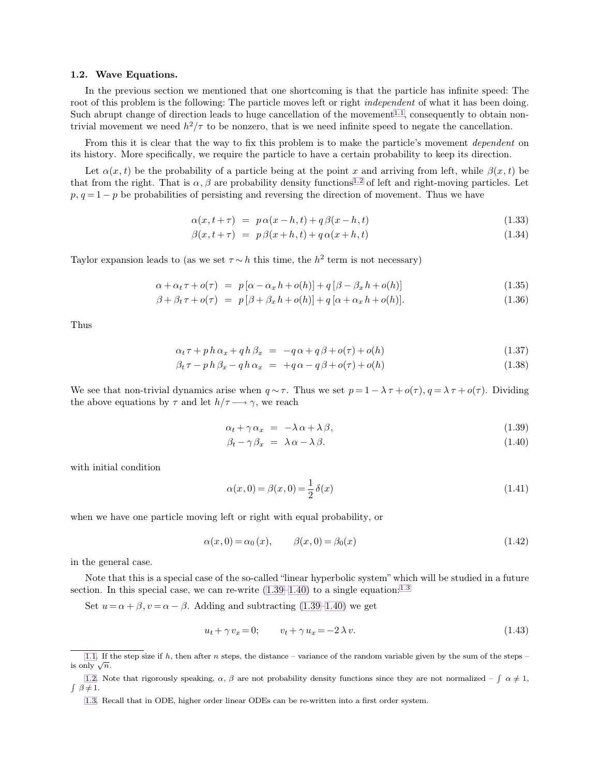### <span id="page-3-4"></span>**1.2. Wave Equations.**

In the previous section we mentioned that one shortcoming is that the particle has infinite speed: The root of this problem is the following: The particle moves left or right *independent* of what it has been doing. Such abrupt change of direction leads to huge cancellation of the movement<sup>1.1</sup>, consequently to obtain nontrivial movement we need  $h^2/\tau$  to be nonzero, that is we need infinite speed to negate the cancellation.

From this it is clear that the way to fix this problem is to make the particle's movement *dependent* on its history. More specifically, we require the particle to have a certain probability to keep its direction.

Let  $\alpha(x, t)$  be the probability of a particle being at the point x and arriving from left, while  $\beta(x, t)$  be that from the right. That is  $\alpha$ ,  $\beta$  are probability density functions<sup>1.2</sup> of left and right-moving particles. Let  $p, q = 1 - p$  be probabilities of persisting and reversing the direction of movement. Thus we have

<span id="page-3-3"></span><span id="page-3-1"></span><span id="page-3-0"></span>
$$
\alpha(x, t + \tau) = p \alpha(x - h, t) + q \beta(x - h, t) \tag{1.33}
$$

$$
\beta(x, t + \tau) = p\beta(x + h, t) + q\alpha(x + h, t) \tag{1.34}
$$

Taylor expansion leads to (as we set  $\tau \sim h$  this time, the  $h^2$  term is not necessary)

$$
\alpha + \alpha_t \tau + o(\tau) = p[\alpha - \alpha_x h + o(h)] + q[\beta - \beta_x h + o(h)] \tag{1.35}
$$

$$
\beta + \beta_t \tau + o(\tau) = p[\beta + \beta_x h + o(h)] + q[\alpha + \alpha_x h + o(h)]. \qquad (1.36)
$$

Thus

$$
\alpha_t \tau + p h \alpha_x + q h \beta_x = -q \alpha + q \beta + o(\tau) + o(h) \qquad (1.37)
$$

$$
\beta_t \tau - p h \beta_x - q h \alpha_x = +q \alpha - q \beta + o(\tau) + o(h) \qquad (1.38)
$$

We see that non-trivial dynamics arise when  $q \sim \tau$ . Thus we set  $p = 1 - \lambda \tau + o(\tau)$ ,  $q = \lambda \tau + o(\tau)$ . Dividing the above equations by  $\tau$  and let  $h/\tau \longrightarrow \gamma$ , we reach

$$
\alpha_t + \gamma \alpha_x = -\lambda \alpha + \lambda \beta, \tag{1.39}
$$

<span id="page-3-2"></span>
$$
\beta_t - \gamma \beta_x = \lambda \alpha - \lambda \beta. \tag{1.40}
$$

with initial condition

$$
\alpha(x,0) = \beta(x,0) = \frac{1}{2}\,\delta(x) \tag{1.41}
$$

when we have one particle moving left or right with equal probability, or

$$
\alpha(x,0) = \alpha_0(x), \qquad \beta(x,0) = \beta_0(x) \tag{1.42}
$$

in the general case.

Note that this is a special case of the so-called "linear hyperbolic system" which will be studied in a future section. In this special case, we can re-write  $(1.39-1.40)$  $(1.39-1.40)$  to a single equation:<sup>1.3</sup>

Set  $u = \alpha + \beta$ ,  $v = \alpha - \beta$ . Adding and subtracting [\(1.39–](#page-3-0)[1.40\)](#page-3-1) we get

$$
u_t + \gamma v_x = 0; \qquad v_t + \gamma u_x = -2\lambda v. \tag{1.43}
$$

[<sup>1.1.</sup>](#page-3-2) If the step size if  $h$ , then after n steps, the distance – variance of the random variable given by the sum of the steps – is only  $\sqrt{n}$ .

[<sup>1.2.</sup>](#page-3-3) Note that rigorously speaking,  $\alpha$ ,  $\beta$  are not probability density functions since they are not normalized  $-\int \alpha \neq 1$ ,  $\int \beta \neq 1$ .

[<sup>1.3.</sup>](#page-3-4) Recall that in ODE, higher order linear ODEs can be re-written into a first order system.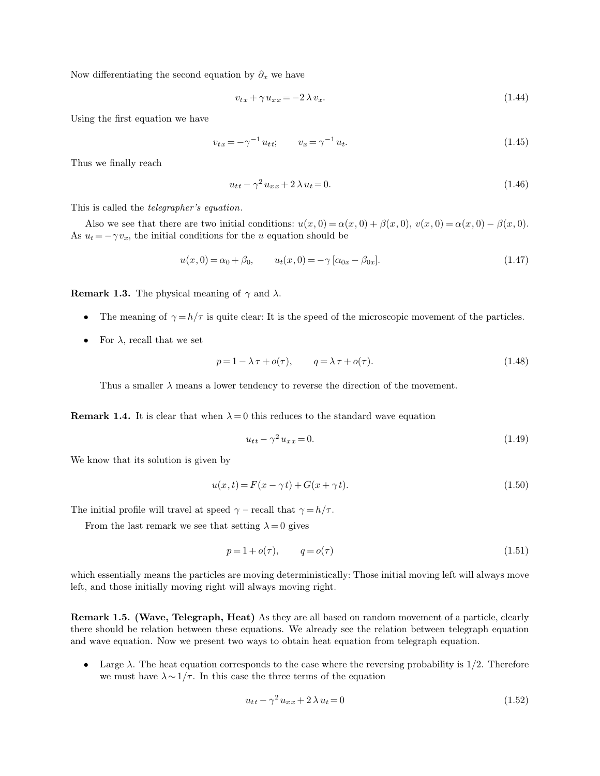Now differentiating the second equation by  $\partial_x$  we have

$$
v_{tx} + \gamma u_{xx} = -2\lambda v_x. \tag{1.44}
$$

Using the first equation we have

$$
v_{tx} = -\gamma^{-1} u_{tt}; \qquad v_x = \gamma^{-1} u_t. \tag{1.45}
$$

Thus we finally reach

$$
u_{tt} - \gamma^2 u_{xx} + 2\lambda u_t = 0.
$$
 (1.46)

This is called the *telegrapher's equation*.

Also we see that there are two initial conditions:  $u(x, 0) = \alpha(x, 0) + \beta(x, 0)$ ,  $v(x, 0) = \alpha(x, 0) - \beta(x, 0)$ . As  $u_t = -\gamma v_x$ , the initial conditions for the u equation should be

$$
u(x,0) = \alpha_0 + \beta_0, \qquad u_t(x,0) = -\gamma \left[ \alpha_{0x} - \beta_{0x} \right]. \tag{1.47}
$$

**Remark 1.3.** The physical meaning of  $\gamma$  and  $\lambda$ .

- The meaning of  $\gamma = h/\tau$  is quite clear: It is the speed of the microscopic movement of the particles.
- For  $\lambda$ , recall that we set

$$
p = 1 - \lambda \tau + o(\tau), \qquad q = \lambda \tau + o(\tau). \tag{1.48}
$$

Thus a smaller  $\lambda$  means a lower tendency to reverse the direction of the movement.

**Remark 1.4.** It is clear that when  $\lambda = 0$  this reduces to the standard wave equation

$$
u_{tt} - \gamma^2 u_{xx} = 0.\tag{1.49}
$$

We know that its solution is given by

$$
u(x,t) = F(x - \gamma t) + G(x + \gamma t).
$$
 (1.50)

The initial profile will travel at speed  $\gamma$  – recall that  $\gamma = h/\tau$ .

From the last remark we see that setting  $\lambda = 0$  gives

$$
p = 1 + o(\tau), \qquad q = o(\tau) \tag{1.51}
$$

which essentially means the particles are moving deterministically: Those initial moving left will always move left, and those initially moving right will always moving right.

**Remark 1.5. (Wave, Telegraph, Heat)** As they are all based on random movement of a particle, clearly there should be relation between these equations. We already see the relation between telegraph equation and wave equation. Now we present two ways to obtain heat equation from telegraph equation.

• Large  $\lambda$ . The heat equation corresponds to the case where the reversing probability is 1/2. Therefore we must have  $\lambda \sim 1/\tau$ . In this case the three terms of the equation

$$
u_{tt} - \gamma^2 u_{xx} + 2\lambda u_t = 0 \tag{1.52}
$$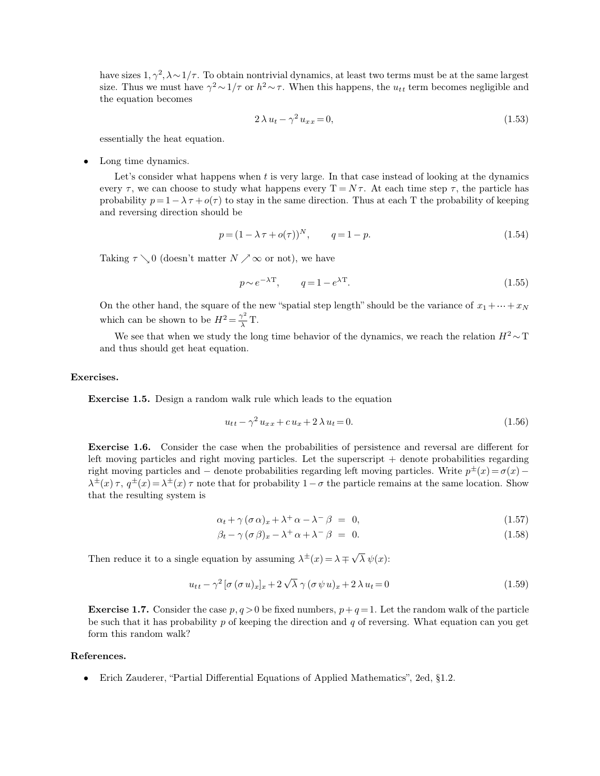have sizes  $1, \gamma^2, \lambda \sim 1/\tau$ . To obtain nontrivial dynamics, at least two terms must be at the same largest size. Thus we must have  $\gamma^2 \sim 1/\tau$  or  $h^2 \sim \tau$ . When this happens, the  $u_{tt}$  term becomes negligible and the equation becomes

$$
2\lambda u_t - \gamma^2 u_{xx} = 0,\t\t(1.53)
$$

essentially the heat equation.

Long time dynamics.

Let's consider what happens when t is very large. In that case instead of looking at the dynamics every  $\tau$ , we can choose to study what happens every  $T = N\tau$ . At each time step  $\tau$ , the particle has probability  $p=1-\lambda \tau + o(\tau)$  to stay in the same direction. Thus at each T the probability of keeping and reversing direction should be

$$
p = (1 - \lambda \tau + o(\tau))^N, \qquad q = 1 - p. \tag{1.54}
$$

Taking  $\tau \setminus 0$  (doesn't matter  $N \nearrow \infty$  or not), we have

$$
p \sim e^{-\lambda \mathcal{T}}, \qquad q = 1 - e^{\lambda \mathcal{T}}.
$$
\n
$$
(1.55)
$$

On the other hand, the square of the new "spatial step length" should be the variance of  $x_1 + \cdots + x_N$ which can be shown to be  $H^2 = \frac{\gamma^2}{\lambda}$  $\frac{\gamma}{\lambda}$  T.

We see that when we study the long time behavior of the dynamics, we reach the relation  $H^2 \sim T$ and thus should get heat equation.

### **Exercises.**

**Exercise 1.5.** Design a random walk rule which leads to the equation

$$
u_{tt} - \gamma^2 u_{xx} + c u_x + 2 \lambda u_t = 0.
$$
\n(1.56)

**Exercise 1.6.** Consider the case when the probabilities of persistence and reversal are different for left moving particles and right moving particles. Let the superscript  $+$  denote probabilities regarding right moving particles and – denote probabilities regarding left moving particles. Write  $p^{\pm}(x) = \sigma(x) \lambda^{\pm}(x)$ ,  $\tau$ ,  $q^{\pm}(x) = \lambda^{\pm}(x)$ ,  $\tau$  note that for probability  $1-\sigma$  the particle remains at the same location. Show that the resulting system is

$$
\alpha_t + \gamma (\sigma \alpha)_x + \lambda^+ \alpha - \lambda^- \beta = 0, \qquad (1.57)
$$

$$
\beta_t - \gamma (\sigma \beta)_x - \lambda^+ \alpha + \lambda^- \beta = 0. \tag{1.58}
$$

Then reduce it to a single equation by assuming  $\lambda^{\pm}(x) = \lambda \mp \sqrt{\lambda} \psi(x)$ :

$$
u_{tt} - \gamma^2 \left[ \sigma (\sigma u)_x \right]_x + 2 \sqrt{\lambda} \gamma (\sigma \psi u)_x + 2 \lambda u_t = 0 \tag{1.59}
$$

**Exercise 1.7.** Consider the case  $p, q > 0$  be fixed numbers,  $p + q = 1$ . Let the random walk of the particle be such that it has probability p of keeping the direction and q of reversing. What equation can you get form this random walk?

# **References.**

• Erich Zauderer, "Partial Differential Equations of Applied Mathematics", 2ed, §1.2.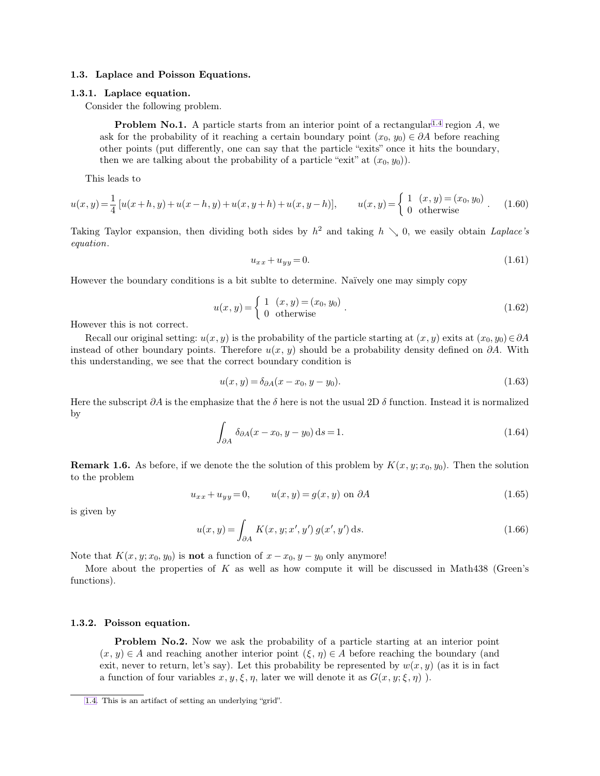# **1.3. Laplace and Poisson Equations.**

# **1.3.1. Laplace equation.**

Consider the following problem.

**Problem No.1.** A particle starts from an interior point of a rectangular<sup>1.4</sup> region  $A$ , we ask for the probability of it reaching a certain boundary point  $(x_0, y_0) \in \partial A$  before reaching other points (put differently, one can say that the particle "exits" once it hits the boundary, then we are talking about the probability of a particle "exit" at  $(x_0, y_0)$ ).

This leads to

$$
u(x,y) = \frac{1}{4} \left[ u(x+h,y) + u(x-h,y) + u(x,y+h) + u(x,y-h) \right], \qquad u(x,y) = \begin{cases} 1 & (x,y) = (x_0, y_0) \\ 0 & \text{otherwise} \end{cases} (1.60)
$$

Taking Taylor expansion, then dividing both sides by  $h^2$  and taking  $h \searrow 0$ , we easily obtain *Laplace's equation*.

<span id="page-6-0"></span>
$$
u_{xx} + u_{yy} = 0.\t\t(1.61)
$$

However the boundary conditions is a bit sublte to determine. Naïvely one may simply copy

$$
u(x, y) = \begin{cases} 1 & (x, y) = (x_0, y_0) \\ 0 & \text{otherwise} \end{cases} .
$$
 (1.62)

However this is not correct.

Recall our original setting:  $u(x, y)$  is the probability of the particle starting at  $(x, y)$  exits at  $(x_0, y_0) \in \partial A$ instead of other boundary points. Therefore  $u(x, y)$  should be a probability density defined on  $\partial A$ . With this understanding, we see that the correct boundary condition is

$$
u(x, y) = \delta_{\partial A}(x - x_0, y - y_0).
$$
 (1.63)

Here the subscript  $\partial A$  is the emphasize that the  $\delta$  here is not the usual 2D  $\delta$  function. Instead it is normalized by

$$
\int_{\partial A} \delta_{\partial A}(x - x_0, y - y_0) \, \mathrm{d}s = 1. \tag{1.64}
$$

**Remark 1.6.** As before, if we denote the the solution of this problem by  $K(x, y; x_0, y_0)$ . Then the solution to the problem

$$
u_{xx} + u_{yy} = 0, \qquad u(x, y) = g(x, y) \text{ on } \partial A \tag{1.65}
$$

is given by

$$
u(x, y) = \int_{\partial A} K(x, y; x', y') g(x', y') ds.
$$
 (1.66)

Note that  $K(x, y; x_0, y_0)$  is **not** a function of  $x - x_0, y - y_0$  only anymore!

More about the properties of  $K$  as well as how compute it will be discussed in Math438 (Green's functions).

#### **1.3.2. Poisson equation.**

**Problem No.2.** Now we ask the probability of a particle starting at an interior point  $(x, y) \in A$  and reaching another interior point  $(\xi, \eta) \in A$  before reaching the boundary (and exit, never to return, let's say). Let this probability be represented by  $w(x, y)$  (as it is in fact a function of four variables  $x, y, \xi, \eta$ , later we will denote it as  $G(x, y; \xi, \eta)$ .

[<sup>1.4.</sup>](#page-6-0) This is an artifact of setting an underlying "grid".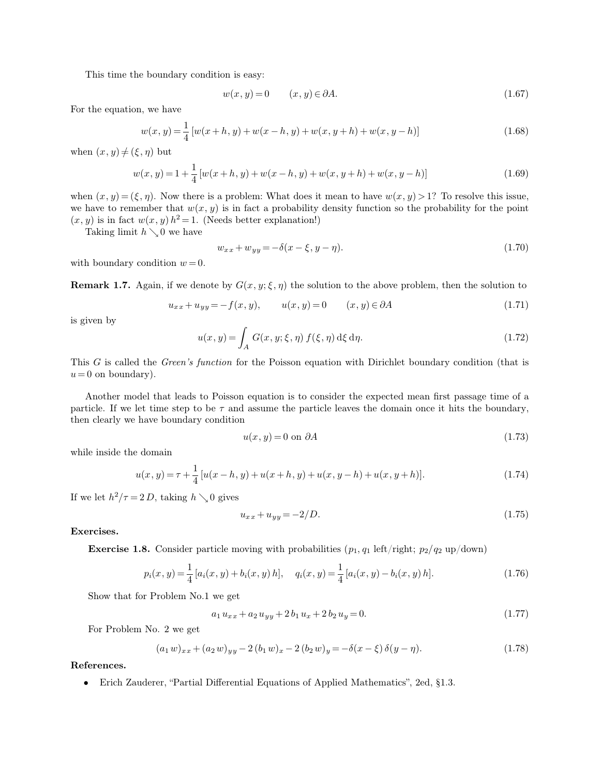This time the boundary condition is easy:

$$
w(x, y) = 0 \qquad (x, y) \in \partial A. \tag{1.67}
$$

For the equation, we have

$$
w(x, y) = \frac{1}{4} [w(x+h, y) + w(x-h, y) + w(x, y+h) + w(x, y-h)]
$$
\n(1.68)

when  $(x, y) \neq (\xi, \eta)$  but

$$
w(x, y) = 1 + \frac{1}{4} [w(x+h, y) + w(x-h, y) + w(x, y+h) + w(x, y-h)]
$$
\n(1.69)

when  $(x, y) = (\xi, \eta)$ . Now there is a problem: What does it mean to have  $w(x, y) > 1$ ? To resolve this issue, we have to remember that  $w(x, y)$  is in fact a probability density function so the probability for the point  $(x, y)$  is in fact  $w(x, y) h^2 = 1$ . (Needs better explanation!)

Taking limit  $h \searrow 0$  we have

$$
w_{xx} + w_{yy} = -\delta(x - \xi, y - \eta). \tag{1.70}
$$

with boundary condition  $w = 0$ .

**Remark 1.7.** Again, if we denote by  $G(x, y; \xi, \eta)$  the solution to the above problem, then the solution to

$$
u_{xx} + u_{yy} = -f(x, y), \t u(x, y) = 0 \t (x, y) \in \partial A \t (1.71)
$$

is given by

$$
u(x, y) = \int_A G(x, y; \xi, \eta) f(\xi, \eta) d\xi d\eta.
$$
 (1.72)

This G is called the *Green's function* for the Poisson equation with Dirichlet boundary condition (that is  $u = 0$  on boundary).

Another model that leads to Poisson equation is to consider the expected mean first passage time of a particle. If we let time step to be  $\tau$  and assume the particle leaves the domain once it hits the boundary, then clearly we have boundary condition

$$
u(x, y) = 0 \text{ on } \partial A \tag{1.73}
$$

while inside the domain

$$
u(x, y) = \tau + \frac{1}{4} [u(x - h, y) + u(x + h, y) + u(x, y - h) + u(x, y + h)].
$$
\n(1.74)

If we let  $h^2/\tau = 2 D$ , taking  $h \searrow 0$  gives

$$
u_{xx} + u_{yy} = -2/D.
$$
\n(1.75)

# **Exercises.**

**Exercise 1.8.** Consider particle moving with probabilities  $(p_1, q_1 \text{ left/right}; p_2/q_2 \text{ up}/\text{down})$ 

$$
p_i(x, y) = \frac{1}{4} [a_i(x, y) + b_i(x, y) h], \quad q_i(x, y) = \frac{1}{4} [a_i(x, y) - b_i(x, y) h].
$$
\n(1.76)

Show that for Problem No.1 we get

$$
a_1 u_{xx} + a_2 u_{yy} + 2 b_1 u_x + 2 b_2 u_y = 0.
$$
\n(1.77)

For Problem No. 2 we get

$$
(a_1 w)_{xx} + (a_2 w)_{yy} - 2 (b_1 w)_x - 2 (b_2 w)_y = -\delta(x - \xi) \delta(y - \eta).
$$
 (1.78)

**References.**

• Erich Zauderer, "Partial Differential Equations of Applied Mathematics", 2ed, §1.3.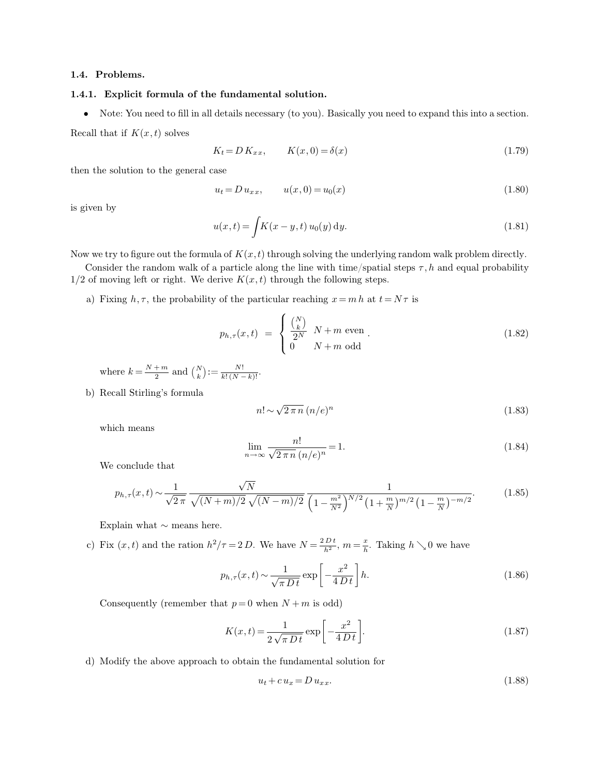# **1.4. Problems.**

# **1.4.1. Explicit formula of the fundamental solution.**

• Note: You need to fill in all details necessary (to you). Basically you need to expand this into a section.

Recall that if  $K(x, t)$  solves

$$
K_t = D K_{xx}, \qquad K(x,0) = \delta(x) \tag{1.79}
$$

then the solution to the general case

$$
u_t = D u_{xx}, \t u(x,0) = u_0(x) \t (1.80)
$$

is given by

$$
u(x,t) = \int K(x - y, t) u_0(y) dy.
$$
 (1.81)

Now we try to figure out the formula of  $K(x,t)$  through solving the underlying random walk problem directly.

Consider the random walk of a particle along the line with time/spatial steps  $\tau, h$  and equal probability  $1/2$  of moving left or right. We derive  $K(x, t)$  through the following steps.

a) Fixing  $h, \tau$ , the probability of the particular reaching  $x = m h$  at  $t = N\tau$  is

$$
p_{h,\tau}(x,t) = \begin{cases} \frac{\binom{N}{k}}{2^N} & N+m \text{ even} \\ 0 & N+m \text{ odd} \end{cases}.
$$
 (1.82)

where  $k = \frac{N+m}{2}$  $\frac{m}{2}$  and  $\binom{N}{k} := \frac{N!}{k! (N-k)!}$ .

b) Recall Stirling's formula

$$
n! \sim \sqrt{2\,\pi\,n} \,(n/e)^n \tag{1.83}
$$

which means

$$
\lim_{n \to \infty} \frac{n!}{\sqrt{2 \pi n} (n/e)^n} = 1.
$$
\n(1.84)

We conclude that

$$
p_{h,\tau}(x,t) \sim \frac{1}{\sqrt{2\pi}} \frac{\sqrt{N}}{\sqrt{(N+m)/2} \sqrt{(N-m)/2}} \frac{1}{\left(1 - \frac{m^2}{N^2}\right)^{N/2} \left(1 + \frac{m}{N}\right)^{m/2} \left(1 - \frac{m}{N}\right)^{-m/2}}.
$$
(1.85)

Explain what ∼ means here.

c) Fix  $(x, t)$  and the ration  $h^2/\tau = 2 D$ . We have  $N = \frac{2 D t}{h^2}$ ,  $m = \frac{x}{h}$  $\frac{x}{h}$ . Taking  $h \searrow 0$  we have

$$
p_{h,\tau}(x,t) \sim \frac{1}{\sqrt{\pi Dt}} \exp\left[-\frac{x^2}{4Dt}\right]h.
$$
 (1.86)

Consequently (remember that  $p=0$  when  $N+m$  is odd)

$$
K(x,t) = \frac{1}{2\sqrt{\pi Dt}} \exp\left[-\frac{x^2}{4Dt}\right].
$$
\n(1.87)

d) Modify the above approach to obtain the fundamental solution for

$$
u_t + c u_x = D u_{xx}.\tag{1.88}
$$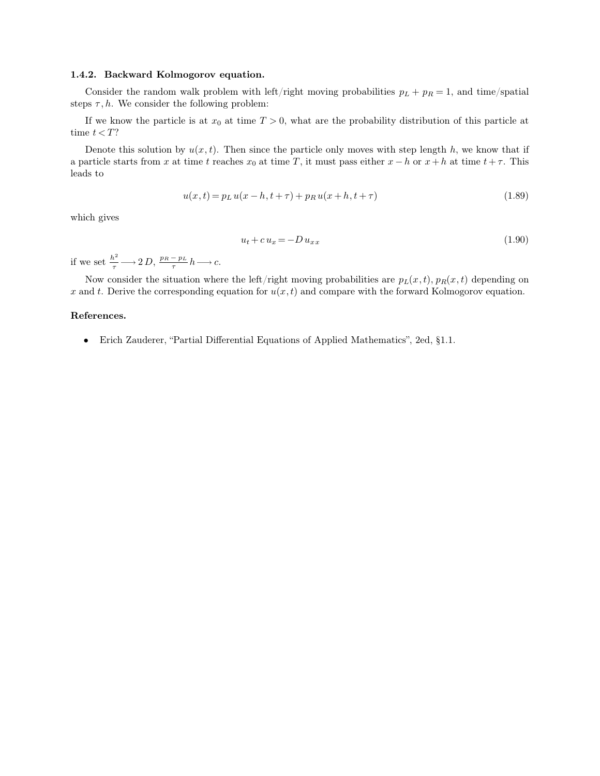# **1.4.2. Backward Kolmogorov equation.**

Consider the random walk problem with left/right moving probabilities  $p_L + p_R = 1$ , and time/spatial steps  $\tau$ , h. We consider the following problem:

If we know the particle is at  $x_0$  at time  $T > 0$ , what are the probability distribution of this particle at time  $t < T$ ?

Denote this solution by  $u(x, t)$ . Then since the particle only moves with step length h, we know that if a particle starts from x at time t reaches  $x_0$  at time T, it must pass either  $x - h$  or  $x + h$  at time  $t + \tau$ . This leads to

$$
u(x,t) = pL u(x-h,t+\tau) + pR u(x+h,t+\tau)
$$
\n(1.89)

which gives

$$
u_t + c u_x = -D u_{xx} \tag{1.90}
$$

if we set  $\frac{h^2}{\tau}$   $\longrightarrow$  2 D,  $\frac{p_R - p_L}{\tau}$  $\frac{-p_L}{\tau}h \longrightarrow c.$ 

Now consider the situation where the left/right moving probabilities are  $p_L(x, t)$ ,  $p_R(x, t)$  depending on x and t. Derive the corresponding equation for  $u(x,t)$  and compare with the forward Kolmogorov equation.

### **References.**

• Erich Zauderer, "Partial Differential Equations of Applied Mathematics", 2ed, §1.1.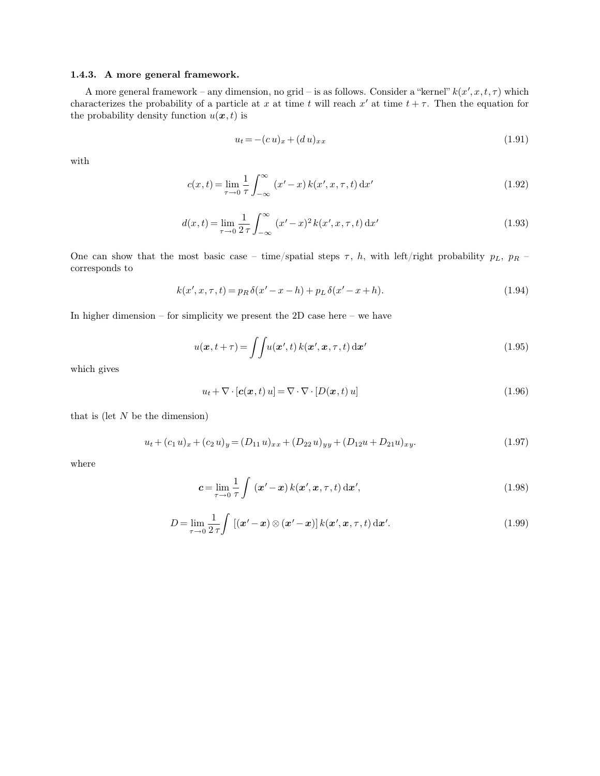# **1.4.3. A more general framework.**

A more general framework – any dimension, no grid – is as follows. Consider a "kernel"  $k(x', x, t, \tau)$  which characterizes the probability of a particle at x at time t will reach x' at time  $t + \tau$ . Then the equation for the probability density function  $u(x, t)$  is

$$
u_t = -(c u)_x + (d u)_{xx} \tag{1.91}
$$

with

$$
c(x,t) = \lim_{\tau \to 0} \frac{1}{\tau} \int_{-\infty}^{\infty} (x'-x) k(x',x,\tau,t) dx'
$$
\n(1.92)

$$
d(x,t) = \lim_{\tau \to 0} \frac{1}{2\,\tau} \int_{-\infty}^{\infty} (x'-x)^2 k(x',x,\tau,t) \,dx'
$$
 (1.93)

One can show that the most basic case – time/spatial steps  $\tau$ , h, with left/right probability  $p_L$ ,  $p_R$  – corresponds to

$$
k(x', x, \tau, t) = p_R \delta(x' - x - h) + p_L \delta(x' - x + h).
$$
 (1.94)

In higher dimension – for simplicity we present the 2D case here – we have

$$
u(\boldsymbol{x}, t + \tau) = \iint u(\boldsymbol{x}', t) k(\boldsymbol{x}', \boldsymbol{x}, \tau, t) d\boldsymbol{x}'
$$
\n(1.95)

which gives

$$
u_t + \nabla \cdot [\mathbf{c}(\mathbf{x}, t) u] = \nabla \cdot \nabla \cdot [D(\mathbf{x}, t) u]
$$
\n(1.96)

that is (let  $N$  be the dimension)

$$
u_t + (c_1 u)_x + (c_2 u)_y = (D_{11} u)_{xx} + (D_{22} u)_{yy} + (D_{12} u + D_{21} u)_{xy}.
$$
\n(1.97)

where

$$
\mathbf{c} = \lim_{\tau \to 0} \frac{1}{\tau} \int (\mathbf{x}' - \mathbf{x}) k(\mathbf{x}', \mathbf{x}, \tau, t) d\mathbf{x}',\tag{1.98}
$$

$$
D = \lim_{\tau \to 0} \frac{1}{2\,\tau} \int \left[ (\mathbf{x}' - \mathbf{x}) \otimes (\mathbf{x}' - \mathbf{x}) \right] k(\mathbf{x}', \mathbf{x}, \tau, t) \, \mathrm{d}\mathbf{x}'. \tag{1.99}
$$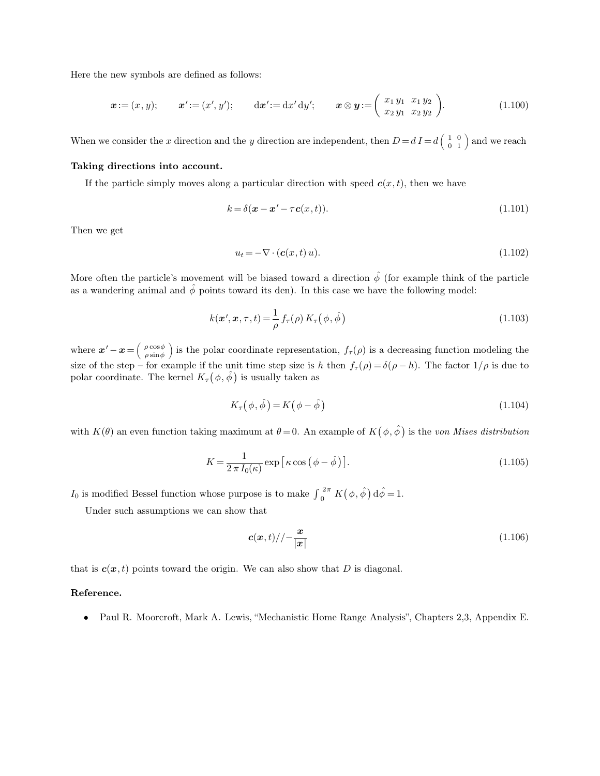Here the new symbols are defined as follows:

$$
\boldsymbol{x} := (x, y); \qquad \boldsymbol{x}' := (x', y'); \qquad \mathrm{d}\boldsymbol{x}' := \mathrm{d}x' \,\mathrm{d}y'; \qquad \boldsymbol{x} \otimes \boldsymbol{y} := \left(\begin{array}{cc} x_1 \, y_1 & x_1 \, y_2 \\ x_2 \, y_1 & x_2 \, y_2 \end{array}\right). \tag{1.100}
$$

When we consider the x direction and the y direction are independent, then  $D=dI=d\left(\begin{array}{cc} 1 & 0 \\ 0 & 1 \end{array}\right)$  and we reach

## **Taking directions into account.**

If the particle simply moves along a particular direction with speed  $c(x, t)$ , then we have

$$
k = \delta(\mathbf{x} - \mathbf{x}' - \tau \mathbf{c}(x, t)).
$$
\n(1.101)

Then we get

$$
u_t = -\nabla \cdot (\mathbf{c}(x, t) u). \tag{1.102}
$$

More often the particle's movement will be biased toward a direction  $\hat{\phi}$  (for example think of the particle as a wandering animal and  $\hat{\phi}$  points toward its den). In this case we have the following model:

$$
k(\boldsymbol{x}', \boldsymbol{x}, \tau, t) = \frac{1}{\rho} f_{\tau}(\rho) K_{\tau}(\phi, \hat{\phi})
$$
\n(1.103)

where  $\boldsymbol{x}' - \boldsymbol{x} = \left(\begin{array}{c} \rho \cos \phi \\ \rho \sin \phi \end{array}\right)$  $\rho \sin \phi$ is the polar coordinate representation,  $f_{\tau}(\rho)$  is a decreasing function modeling the size of the step – for example if the unit time step size is h then  $f_\tau(\rho) = \delta(\rho - h)$ . The factor  $1/\rho$  is due to polar coordinate. The kernel  $K_{\tau}(\phi, \hat{\phi})$  is usually taken as

$$
K_{\tau}(\phi, \hat{\phi}) = K(\phi - \hat{\phi}) \tag{1.104}
$$

with  $K(\theta)$  an even function taking maximum at  $\theta = 0$ . An example of  $K(\phi, \hat{\phi})$  is the *von Mises distribution* 

$$
K = \frac{1}{2 \pi I_0(\kappa)} \exp\left[\kappa \cos\left(\phi - \hat{\phi}\right)\right].\tag{1.105}
$$

*I*<sub>0</sub> is modified Bessel function whose purpose is to make  $\int_0^{2\pi} K(\phi, \hat{\phi}) d\hat{\phi} = 1$ .

Under such assumptions we can show that

$$
\mathbf{c}(\mathbf{x},t)/\mathbf{1}\frac{\mathbf{x}}{|\mathbf{x}|}\tag{1.106}
$$

that is  $c(x, t)$  points toward the origin. We can also show that D is diagonal.

# **Reference.**

• Paul R. Moorcroft, Mark A. Lewis, "Mechanistic Home Range Analysis", Chapters 2,3, Appendix E.